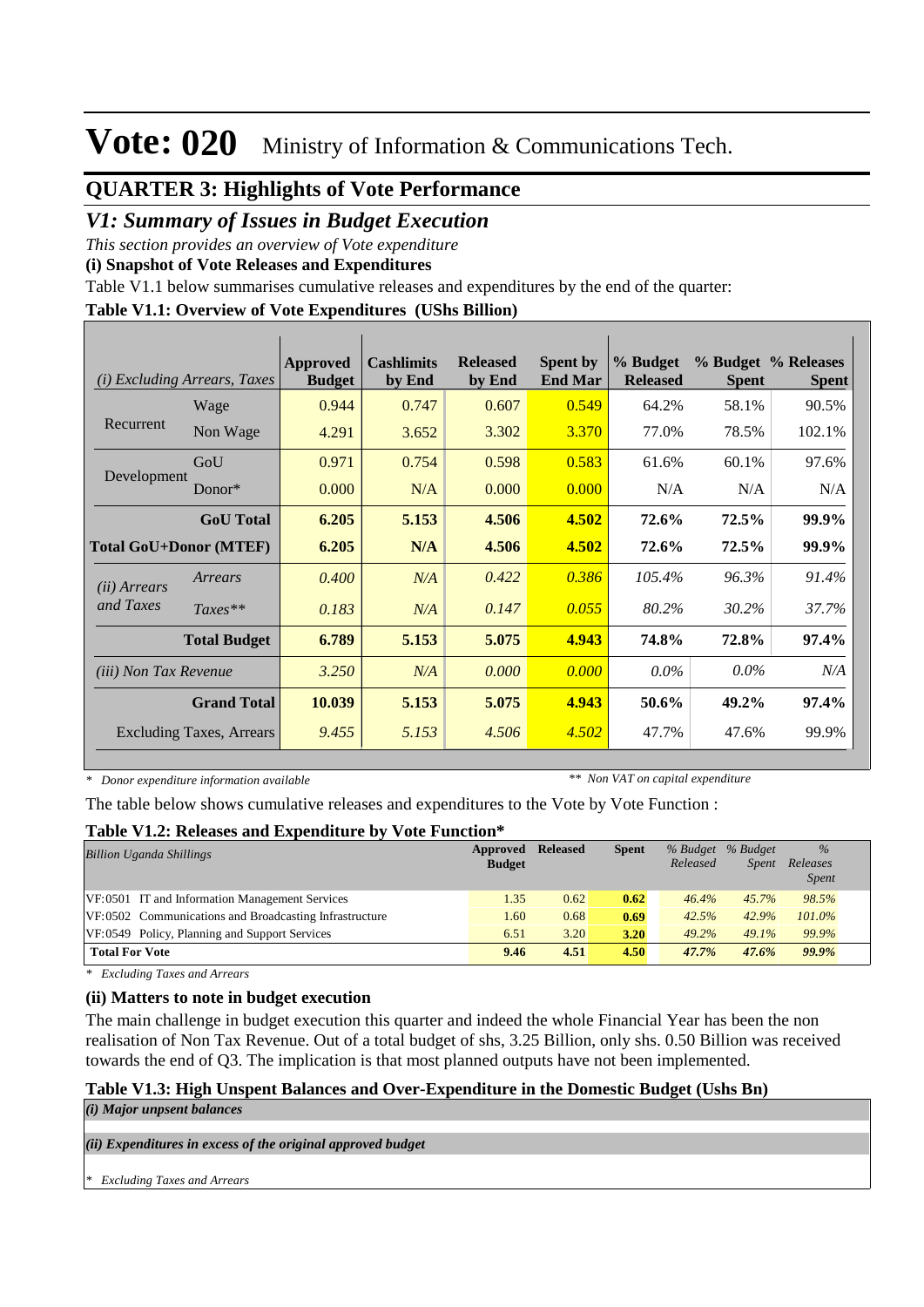### **QUARTER 3: Highlights of Vote Performance**

### *V1: Summary of Issues in Budget Execution*

*This section provides an overview of Vote expenditure* 

**(i) Snapshot of Vote Releases and Expenditures**

Table V1.1 below summarises cumulative releases and expenditures by the end of the quarter:

#### **Table V1.1: Overview of Vote Expenditures (UShs Billion)**

| (i)                           | <i>Excluding Arrears, Taxes</i> | <b>Approved</b><br><b>Budget</b> | <b>Cashlimits</b><br>by End | <b>Released</b><br>by End | <b>Spent by</b><br><b>End Mar</b> | % Budget<br><b>Released</b> | <b>Spent</b> | % Budget % Releases<br><b>Spent</b> |
|-------------------------------|---------------------------------|----------------------------------|-----------------------------|---------------------------|-----------------------------------|-----------------------------|--------------|-------------------------------------|
|                               | Wage                            | 0.944                            | 0.747                       | 0.607                     | 0.549                             | 64.2%                       | 58.1%        | 90.5%                               |
| Recurrent                     | Non Wage                        | 4.291                            | 3.652                       | 3.302                     | 3.370                             | 77.0%                       | 78.5%        | 102.1%                              |
|                               | GoU                             | 0.971                            | 0.754                       | 0.598                     | 0.583                             | 61.6%                       | 60.1%        | 97.6%                               |
| Development                   | $Donor*$                        | 0.000                            | N/A                         | 0.000                     | 0.000                             | N/A                         | N/A          | N/A                                 |
|                               | <b>GoU</b> Total                | 6.205                            | 5.153                       | 4.506                     | 4.502                             | 72.6%                       | 72.5%        | 99.9%                               |
| <b>Total GoU+Donor (MTEF)</b> |                                 | 6.205                            | N/A                         | 4.506                     | 4.502                             | 72.6%                       | 72.5%        | 99.9%                               |
| ( <i>ii</i> ) Arrears         | Arrears                         | 0.400                            | N/A                         | 0.422                     | 0.386                             | 105.4%                      | 96.3%        | 91.4%                               |
| and Taxes                     | $Taxes**$                       | 0.183                            | N/A                         | 0.147                     | 0.055                             | 80.2%                       | 30.2%        | 37.7%                               |
|                               | <b>Total Budget</b>             | 6.789                            | 5.153                       | 5.075                     | 4.943                             | 74.8%                       | 72.8%        | 97.4%                               |
| <i>(iii)</i> Non Tax Revenue  |                                 | 3.250                            | N/A                         | 0.000                     | 0.000                             | $0.0\%$                     | $0.0\%$      | N/A                                 |
|                               | <b>Grand Total</b>              | 10.039                           | 5.153                       | 5.075                     | 4.943                             | 50.6%                       | 49.2%        | 97.4%                               |
|                               | <b>Excluding Taxes, Arrears</b> | 9.455                            | 5.153                       | 4.506                     | 4.502                             | 47.7%                       | 47.6%        | 99.9%                               |

*\* Donor expenditure information available*

*\*\* Non VAT on capital expenditure*

The table below shows cumulative releases and expenditures to the Vote by Vote Function :

#### **Table V1.2: Releases and Expenditure by Vote Function\***

| <b>Billion Uganda Shillings</b>                        | <b>Approved Released</b><br><b>Budget</b> |      | <b>Spent</b> | Released | % Budget % Budget<br><i>Spent</i> | $\%$<br>Releases<br><i>Spent</i> |
|--------------------------------------------------------|-------------------------------------------|------|--------------|----------|-----------------------------------|----------------------------------|
| VF:0501 IT and Information Management Services         | 1.35                                      | 0.62 | 0.62         | 46.4%    | 45.7%                             | 98.5%                            |
| VF:0502 Communications and Broadcasting Infrastructure | 1.60                                      | 0.68 | 0.69         | 42.5%    | 42.9%                             | $101.0\%$                        |
| VF:0549 Policy, Planning and Support Services          | 6.51                                      | 3.20 | 3.20         | 49.2%    | 49.1%                             | 99.9%                            |
| <b>Total For Vote</b>                                  | 9.46                                      | 4.51 | 4.50         | 47.7%    | 47.6%                             | 99.9%                            |

*\* Excluding Taxes and Arrears*

#### **(ii) Matters to note in budget execution**

The main challenge in budget execution this quarter and indeed the whole Financial Year has been the non realisation of Non Tax Revenue. Out of a total budget of shs, 3.25 Billion, only shs. 0.50 Billion was received towards the end of Q3. The implication is that most planned outputs have not been implemented.

#### **Table V1.3: High Unspent Balances and Over-Expenditure in the Domestic Budget (Ushs Bn)**

*(i) Major unpsent balances*

*(ii) Expenditures in excess of the original approved budget*

*\* Excluding Taxes and Arrears*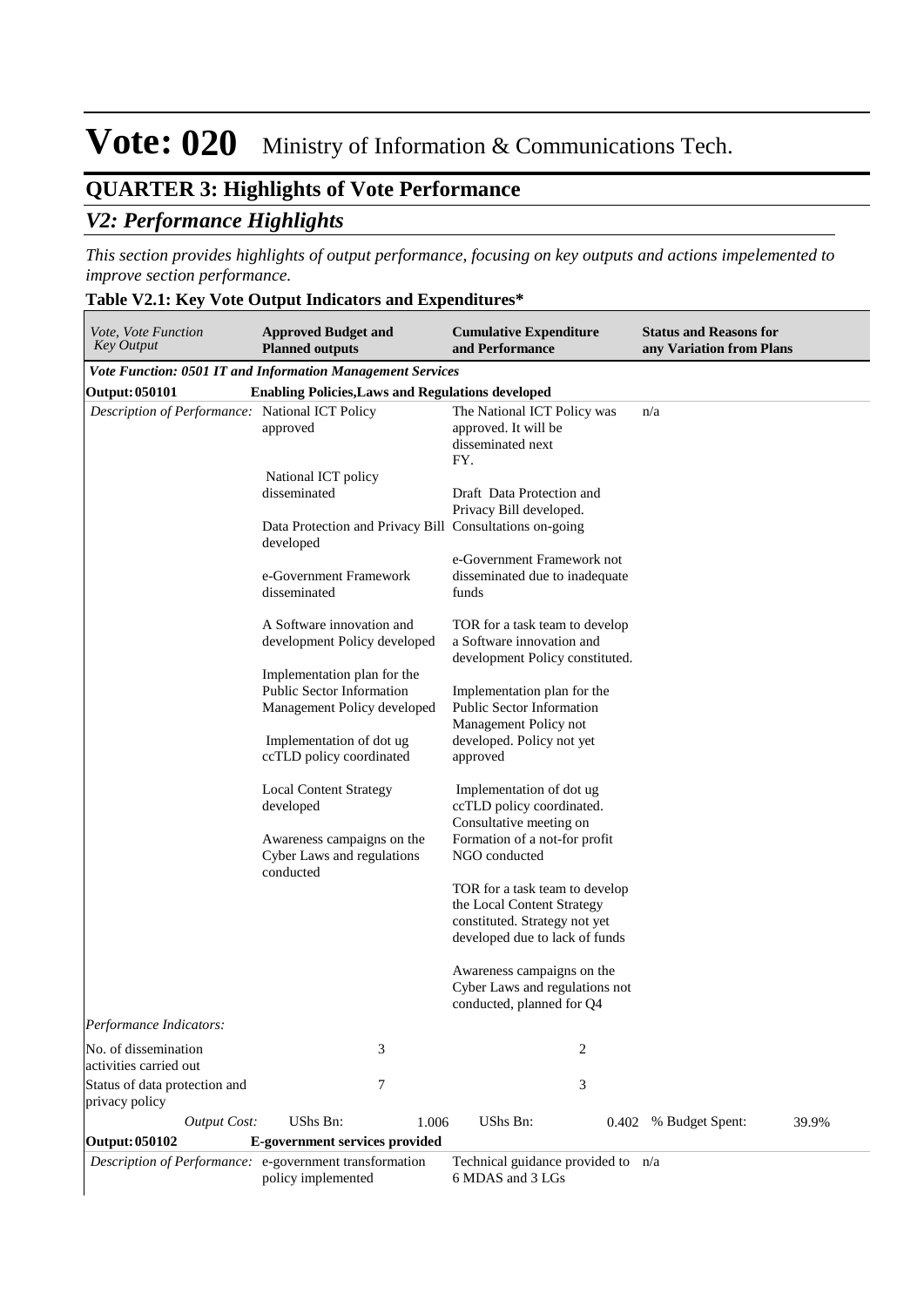## **QUARTER 3: Highlights of Vote Performance** *V2: Performance Highlights*

*This section provides highlights of output performance, focusing on key outputs and actions impelemented to improve section performance.*

#### **Table V2.1: Key Vote Output Indicators and Expenditures\***

| Vote, Vote Function<br>Key Output               | <b>Approved Budget and</b><br><b>Planned outputs</b>                                                                    | <b>Cumulative Expenditure</b><br>and Performance                                                                                        | <b>Status and Reasons for</b><br>any Variation from Plans |
|-------------------------------------------------|-------------------------------------------------------------------------------------------------------------------------|-----------------------------------------------------------------------------------------------------------------------------------------|-----------------------------------------------------------|
|                                                 | <b>Vote Function: 0501 IT and Information Management Services</b>                                                       |                                                                                                                                         |                                                           |
| Output: 050101                                  | <b>Enabling Policies, Laws and Regulations developed</b>                                                                |                                                                                                                                         |                                                           |
| Description of Performance: National ICT Policy | approved<br>National ICT policy<br>disseminated<br>Data Protection and Privacy Bill Consultations on-going<br>developed | The National ICT Policy was<br>approved. It will be<br>disseminated next<br>FY.<br>Draft Data Protection and<br>Privacy Bill developed. | n/a                                                       |
|                                                 | e-Government Framework<br>disseminated                                                                                  | e-Government Framework not<br>disseminated due to inadequate<br>funds                                                                   |                                                           |
|                                                 | A Software innovation and<br>development Policy developed                                                               | TOR for a task team to develop<br>a Software innovation and<br>development Policy constituted.                                          |                                                           |
|                                                 | Implementation plan for the<br>Public Sector Information<br>Management Policy developed                                 | Implementation plan for the<br><b>Public Sector Information</b><br>Management Policy not                                                |                                                           |
|                                                 | Implementation of dot ug<br>ccTLD policy coordinated                                                                    | developed. Policy not yet<br>approved                                                                                                   |                                                           |
|                                                 | <b>Local Content Strategy</b><br>developed                                                                              | Implementation of dot ug<br>ccTLD policy coordinated.<br>Consultative meeting on                                                        |                                                           |
|                                                 | Awareness campaigns on the<br>Cyber Laws and regulations<br>conducted                                                   | Formation of a not-for profit<br>NGO conducted                                                                                          |                                                           |
|                                                 |                                                                                                                         | TOR for a task team to develop<br>the Local Content Strategy<br>constituted. Strategy not yet<br>developed due to lack of funds         |                                                           |
|                                                 |                                                                                                                         | Awareness campaigns on the<br>Cyber Laws and regulations not<br>conducted, planned for Q4                                               |                                                           |
| Performance Indicators:                         |                                                                                                                         |                                                                                                                                         |                                                           |
| No. of dissemination<br>activities carried out  | 3                                                                                                                       | 2                                                                                                                                       |                                                           |
| Status of data protection and<br>privacy policy | 7                                                                                                                       | 3                                                                                                                                       |                                                           |
| <b>Output Cost:</b>                             | UShs Bn:<br>1.006                                                                                                       | UShs Bn:                                                                                                                                | 39.9%<br>0.402 % Budget Spent:                            |
| Output: 050102                                  | E-government services provided<br>Description of Performance: e-government transformation<br>policy implemented         | Technical guidance provided to n/a<br>6 MDAS and 3 LGs                                                                                  |                                                           |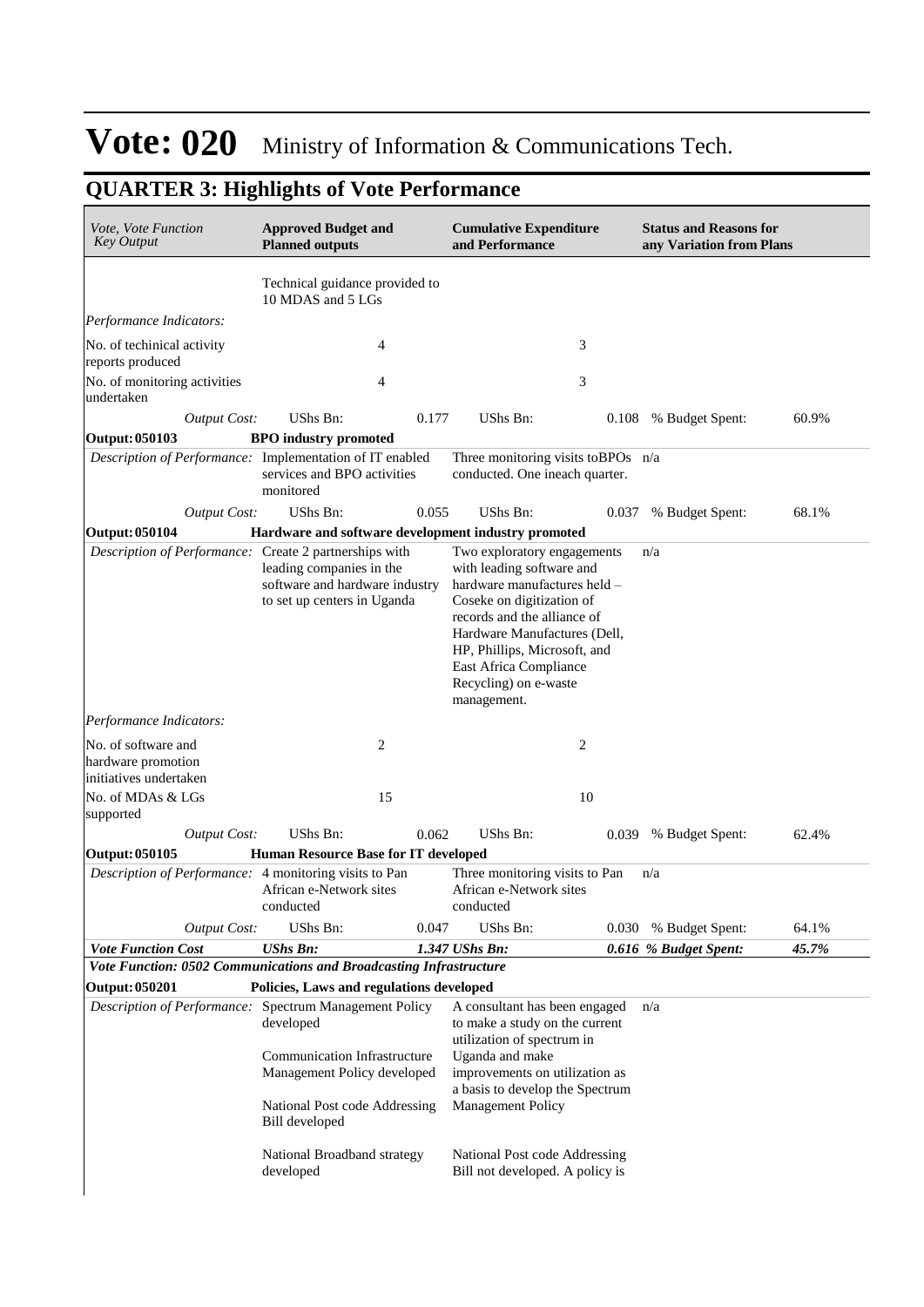## **QUARTER 3: Highlights of Vote Performance**

| Vote, Vote Function<br><b>Key Output</b>                            | <b>Approved Budget and</b><br><b>Planned outputs</b>                                                                                                                                         | <b>Cumulative Expenditure</b><br>and Performance                                                                                                                                                                                                                                       | <b>Status and Reasons for</b><br>any Variation from Plans |
|---------------------------------------------------------------------|----------------------------------------------------------------------------------------------------------------------------------------------------------------------------------------------|----------------------------------------------------------------------------------------------------------------------------------------------------------------------------------------------------------------------------------------------------------------------------------------|-----------------------------------------------------------|
|                                                                     | Technical guidance provided to<br>10 MDAS and 5 LGs                                                                                                                                          |                                                                                                                                                                                                                                                                                        |                                                           |
| Performance Indicators:                                             |                                                                                                                                                                                              |                                                                                                                                                                                                                                                                                        |                                                           |
| No. of techinical activity<br>reports produced                      | 4                                                                                                                                                                                            | 3                                                                                                                                                                                                                                                                                      |                                                           |
| No. of monitoring activities<br>undertaken                          | 4                                                                                                                                                                                            | 3                                                                                                                                                                                                                                                                                      |                                                           |
| <b>Output Cost:</b>                                                 | UShs Bn:<br>0.177                                                                                                                                                                            | UShs Bn:<br>0.108                                                                                                                                                                                                                                                                      | 60.9%<br>% Budget Spent:                                  |
| Output: 050103                                                      | <b>BPO</b> industry promoted                                                                                                                                                                 |                                                                                                                                                                                                                                                                                        |                                                           |
|                                                                     | Description of Performance: Implementation of IT enabled<br>services and BPO activities<br>monitored                                                                                         | Three monitoring visits to BPOs n/a<br>conducted. One ineach quarter.                                                                                                                                                                                                                  |                                                           |
| <b>Output Cost:</b>                                                 | UShs Bn:<br>0.055                                                                                                                                                                            | UShs Bn:                                                                                                                                                                                                                                                                               | 68.1%<br>0.037 % Budget Spent:                            |
| Output: 050104                                                      | Hardware and software development industry promoted                                                                                                                                          |                                                                                                                                                                                                                                                                                        |                                                           |
| Description of Performance: Create 2 partnerships with              | leading companies in the<br>software and hardware industry<br>to set up centers in Uganda                                                                                                    | Two exploratory engagements<br>with leading software and<br>hardware manufactures held -<br>Coseke on digitization of<br>records and the alliance of<br>Hardware Manufactures (Dell,<br>HP, Phillips, Microsoft, and<br>East Africa Compliance<br>Recycling) on e-waste<br>management. | n/a                                                       |
| Performance Indicators:                                             |                                                                                                                                                                                              |                                                                                                                                                                                                                                                                                        |                                                           |
| No. of software and<br>hardware promotion<br>initiatives undertaken | 2                                                                                                                                                                                            | 2                                                                                                                                                                                                                                                                                      |                                                           |
| No. of MDAs & LGs<br>supported                                      | 15                                                                                                                                                                                           | 10                                                                                                                                                                                                                                                                                     |                                                           |
| <b>Output Cost:</b>                                                 | UShs Bn:<br>0.062                                                                                                                                                                            | UShs Bn:<br>0.039                                                                                                                                                                                                                                                                      | % Budget Spent:<br>62.4%                                  |
| Output: 050105                                                      | Human Resource Base for IT developed                                                                                                                                                         |                                                                                                                                                                                                                                                                                        |                                                           |
| Description of Performance: 4 monitoring visits to Pan              | African e-Network sites<br>conducted                                                                                                                                                         | Three monitoring visits to Pan<br>African e-Network sites<br>conducted                                                                                                                                                                                                                 | n/a                                                       |
| <b>Output Cost:</b>                                                 | UShs Bn:<br>0.047                                                                                                                                                                            | UShs Bn:                                                                                                                                                                                                                                                                               | 64.1%<br>0.030 % Budget Spent:                            |
| <b>Vote Function Cost</b>                                           | <b>UShs Bn:</b>                                                                                                                                                                              | 1.347 UShs Bn:                                                                                                                                                                                                                                                                         | 0.616 % Budget Spent:<br>45.7%                            |
|                                                                     | Vote Function: 0502 Communications and Broadcasting Infrastructure                                                                                                                           |                                                                                                                                                                                                                                                                                        |                                                           |
| <b>Output: 050201</b>                                               | Policies, Laws and regulations developed                                                                                                                                                     |                                                                                                                                                                                                                                                                                        |                                                           |
|                                                                     | Description of Performance: Spectrum Management Policy<br>developed<br>Communication Infrastructure<br>Management Policy developed<br>National Post code Addressing<br><b>Bill</b> developed | A consultant has been engaged<br>to make a study on the current<br>utilization of spectrum in<br>Uganda and make<br>improvements on utilization as<br>a basis to develop the Spectrum<br><b>Management Policy</b>                                                                      | n/a                                                       |
|                                                                     | National Broadband strategy<br>developed                                                                                                                                                     | National Post code Addressing<br>Bill not developed. A policy is                                                                                                                                                                                                                       |                                                           |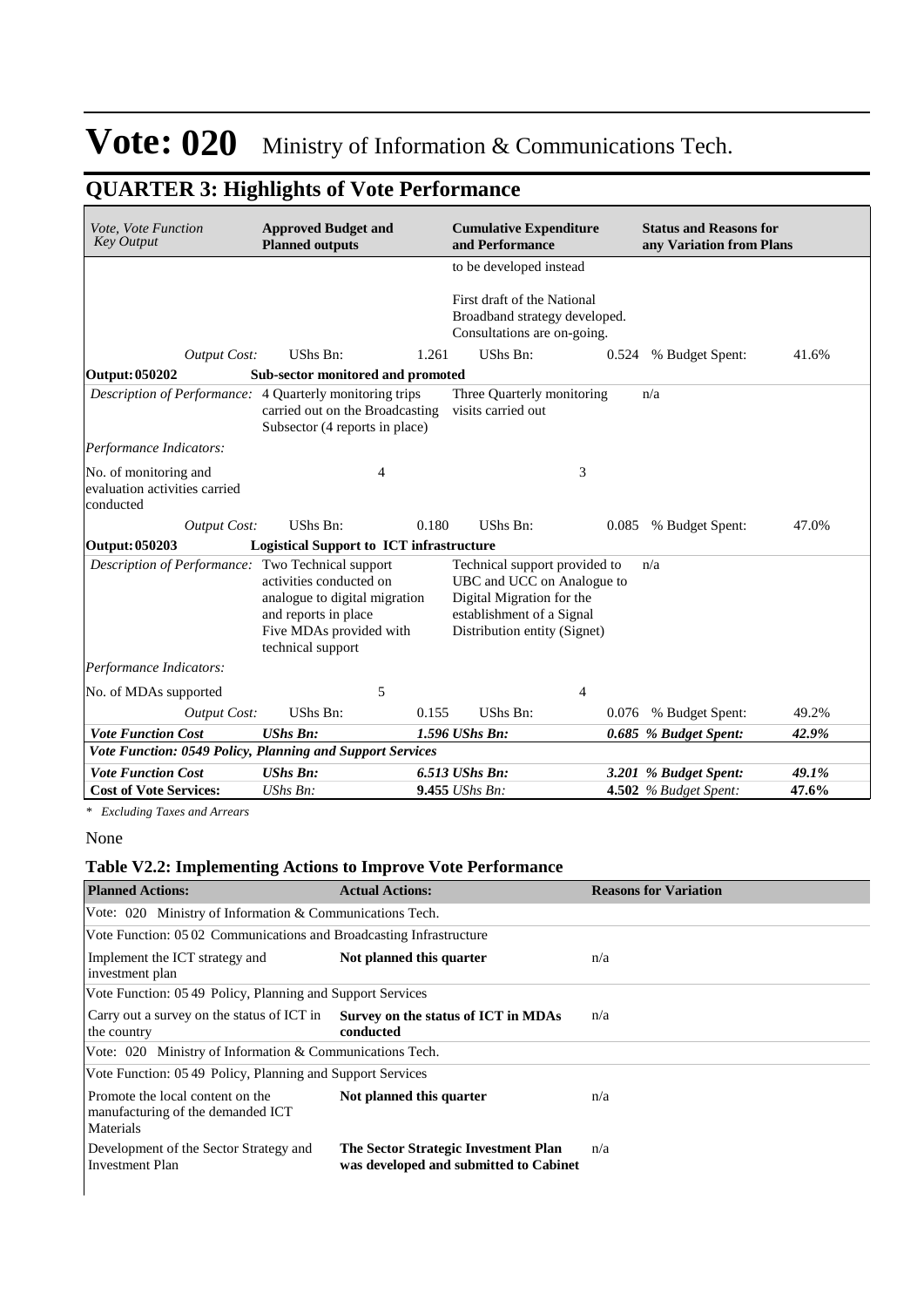## **QUARTER 3: Highlights of Vote Performance**

| Vote, Vote Function<br><b>Key Output</b>                            | <b>Approved Budget and</b><br><b>Planned outputs</b>                                                                             |       | <b>Cumulative Expenditure</b><br>and Performance                                                                                                      |       | <b>Status and Reasons for</b><br>any Variation from Plans |       |
|---------------------------------------------------------------------|----------------------------------------------------------------------------------------------------------------------------------|-------|-------------------------------------------------------------------------------------------------------------------------------------------------------|-------|-----------------------------------------------------------|-------|
|                                                                     |                                                                                                                                  |       | to be developed instead<br>First draft of the National                                                                                                |       |                                                           |       |
|                                                                     |                                                                                                                                  |       | Broadband strategy developed.<br>Consultations are on-going.                                                                                          |       |                                                           |       |
| <b>Output Cost:</b>                                                 | UShs Bn:                                                                                                                         | 1.261 | UShs Bn:                                                                                                                                              | 0.524 | % Budget Spent:                                           | 41.6% |
| <b>Output: 050202</b>                                               | Sub-sector monitored and promoted                                                                                                |       |                                                                                                                                                       |       |                                                           |       |
| Description of Performance:                                         | 4 Quarterly monitoring trips<br>carried out on the Broadcasting<br>Subsector (4 reports in place)                                |       | Three Quarterly monitoring<br>visits carried out                                                                                                      |       | n/a                                                       |       |
| Performance Indicators:                                             |                                                                                                                                  |       |                                                                                                                                                       |       |                                                           |       |
| No. of monitoring and<br>evaluation activities carried<br>conducted | 4                                                                                                                                |       | 3                                                                                                                                                     |       |                                                           |       |
| <b>Output Cost:</b>                                                 | UShs Bn:                                                                                                                         | 0.180 | UShs Bn:                                                                                                                                              | 0.085 | % Budget Spent:                                           | 47.0% |
| Output: 050203                                                      | <b>Logistical Support to ICT infrastructure</b>                                                                                  |       |                                                                                                                                                       |       |                                                           |       |
| Description of Performance: Two Technical support                   | activities conducted on<br>analogue to digital migration<br>and reports in place<br>Five MDAs provided with<br>technical support |       | Technical support provided to<br>UBC and UCC on Analogue to<br>Digital Migration for the<br>establishment of a Signal<br>Distribution entity (Signet) |       | n/a                                                       |       |
| Performance Indicators:                                             |                                                                                                                                  |       |                                                                                                                                                       |       |                                                           |       |
| No. of MDAs supported                                               | 5                                                                                                                                |       | 4                                                                                                                                                     |       |                                                           |       |
| <b>Output Cost:</b>                                                 | UShs Bn:                                                                                                                         | 0.155 | UShs Bn:                                                                                                                                              | 0.076 | % Budget Spent:                                           | 49.2% |
| <b>Vote Function Cost</b>                                           | <b>UShs Bn:</b>                                                                                                                  |       | 1.596 UShs Bn:                                                                                                                                        |       | 0.685 % Budget Spent:                                     | 42.9% |
| Vote Function: 0549 Policy, Planning and Support Services           |                                                                                                                                  |       |                                                                                                                                                       |       |                                                           |       |
| <b>Vote Function Cost</b>                                           | <b>UShs Bn:</b>                                                                                                                  |       | 6.513 UShs Bn:                                                                                                                                        |       | 3.201 % Budget Spent:                                     | 49.1% |
| <b>Cost of Vote Services:</b>                                       | $UShs Bn$ :                                                                                                                      |       | $9.455$ UShs Bn:                                                                                                                                      |       | <b>4.502</b> % Budget Spent:                              | 47.6% |

*\* Excluding Taxes and Arrears*

### **Table V2.2: Implementing Actions to Improve Vote Performance**

| <b>Planned Actions:</b>                                                                                                                                                                                                                                                                                                                                                                                                                                                       | <b>Actual Actions:</b>                                                         | <b>Reasons for Variation</b> |  |  |  |  |  |
|-------------------------------------------------------------------------------------------------------------------------------------------------------------------------------------------------------------------------------------------------------------------------------------------------------------------------------------------------------------------------------------------------------------------------------------------------------------------------------|--------------------------------------------------------------------------------|------------------------------|--|--|--|--|--|
|                                                                                                                                                                                                                                                                                                                                                                                                                                                                               | Not planned this quarter<br>n/a<br>n/a<br>conducted                            |                              |  |  |  |  |  |
| Vote: 020 Ministry of Information & Communications Tech.<br>Vote Function: 0502 Communications and Broadcasting Infrastructure<br>Vote Function: 0549 Policy, Planning and Support Services<br>Carry out a survey on the status of ICT in Survey on the status of ICT in MDAs<br>Vote: 020 Ministry of Information & Communications Tech.<br>Vote Function: 0549 Policy, Planning and Support Services<br>Promote the local content on the<br>Not planned this quarter<br>n/a |                                                                                |                              |  |  |  |  |  |
| Implement the ICT strategy and<br>investment plan                                                                                                                                                                                                                                                                                                                                                                                                                             |                                                                                |                              |  |  |  |  |  |
|                                                                                                                                                                                                                                                                                                                                                                                                                                                                               |                                                                                |                              |  |  |  |  |  |
| the country                                                                                                                                                                                                                                                                                                                                                                                                                                                                   |                                                                                |                              |  |  |  |  |  |
|                                                                                                                                                                                                                                                                                                                                                                                                                                                                               |                                                                                |                              |  |  |  |  |  |
|                                                                                                                                                                                                                                                                                                                                                                                                                                                                               |                                                                                |                              |  |  |  |  |  |
| manufacturing of the demanded ICT<br>Materials                                                                                                                                                                                                                                                                                                                                                                                                                                |                                                                                |                              |  |  |  |  |  |
| Development of the Sector Strategy and<br><b>Investment Plan</b>                                                                                                                                                                                                                                                                                                                                                                                                              | The Sector Strategic Investment Plan<br>was developed and submitted to Cabinet | n/a                          |  |  |  |  |  |

None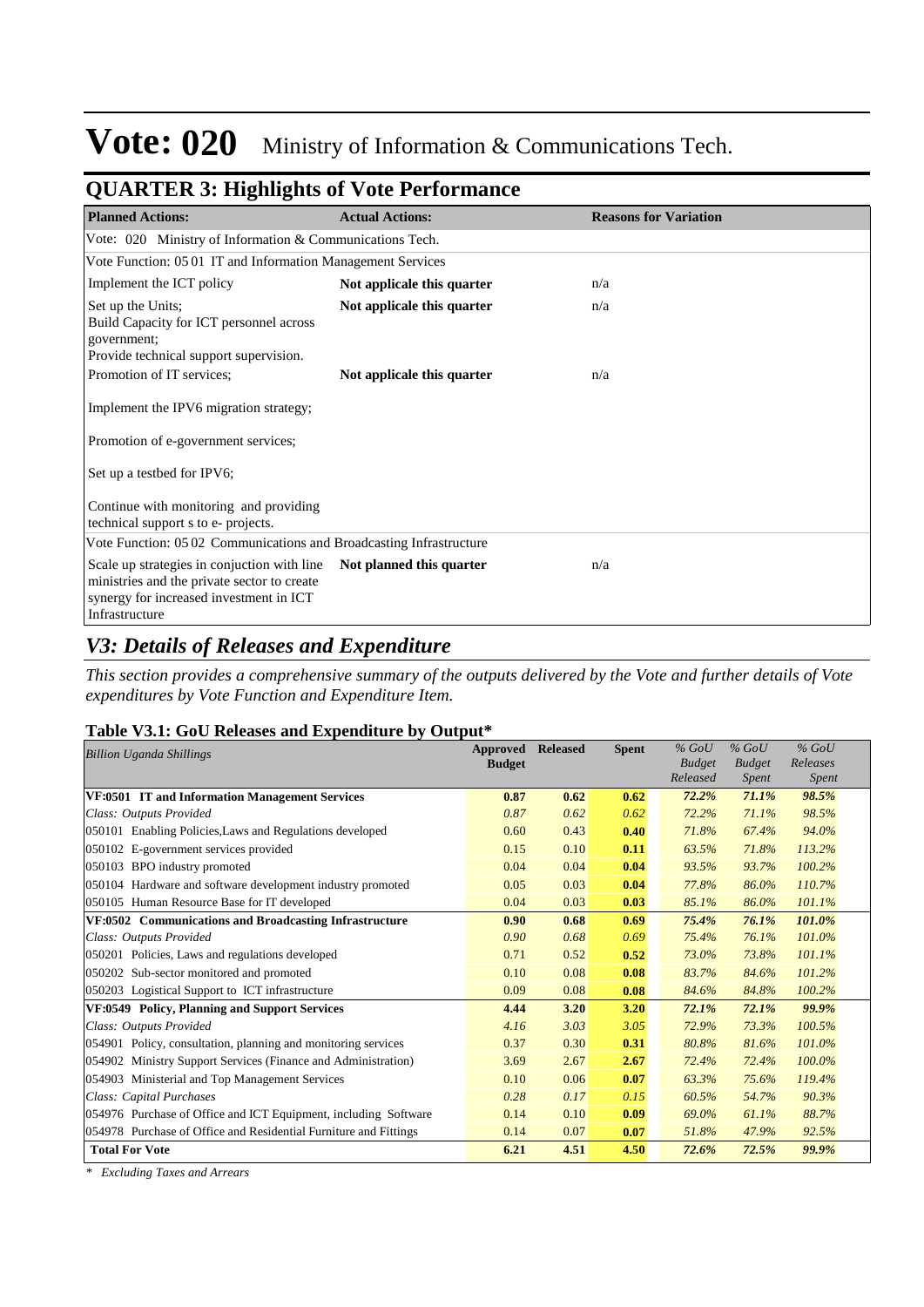| of changers of the maginal of your functional                                                                                                           |                            |                              |
|---------------------------------------------------------------------------------------------------------------------------------------------------------|----------------------------|------------------------------|
| <b>Planned Actions:</b>                                                                                                                                 | <b>Actual Actions:</b>     | <b>Reasons for Variation</b> |
| Vote: 020 Ministry of Information & Communications Tech.                                                                                                |                            |                              |
| Vote Function: 05 01 IT and Information Management Services                                                                                             |                            |                              |
| Implement the ICT policy                                                                                                                                | Not applicale this quarter | n/a                          |
| Set up the Units;<br>Build Capacity for ICT personnel across<br>government;<br>Provide technical support supervision.                                   | Not applicale this quarter | n/a                          |
| Promotion of IT services;                                                                                                                               | Not applicale this quarter | n/a                          |
| Implement the IPV6 migration strategy;                                                                                                                  |                            |                              |
| Promotion of e-government services;                                                                                                                     |                            |                              |
| Set up a testbed for IPV6;                                                                                                                              |                            |                              |
| Continue with monitoring and providing<br>technical support s to e- projects.                                                                           |                            |                              |
| Vote Function: 0502 Communications and Broadcasting Infrastructure                                                                                      |                            |                              |
| Scale up strategies in conjuction with line<br>ministries and the private sector to create<br>synergy for increased investment in ICT<br>Infrastructure | Not planned this quarter   | n/a                          |

### **QUARTER 3: Highlights of Vote Performance**

### *V3: Details of Releases and Expenditure*

*This section provides a comprehensive summary of the outputs delivered by the Vote and further details of Vote expenditures by Vote Function and Expenditure Item.*

### **Table V3.1: GoU Releases and Expenditure by Output\***

| <b>Billion Uganda Shillings</b>                                  | Approved      | <b>Released</b> | <b>Spent</b> | $%$ GoU                   | $%$ GoU                | $%$ GoU                  |
|------------------------------------------------------------------|---------------|-----------------|--------------|---------------------------|------------------------|--------------------------|
|                                                                  | <b>Budget</b> |                 |              | <b>Budget</b><br>Released | <b>Budget</b><br>Spent | Releases<br><i>Spent</i> |
| VF:0501 IT and Information Management Services                   | 0.87          | 0.62            | 0.62         | 72.2%                     | 71.1%                  | 98.5%                    |
|                                                                  |               |                 |              |                           |                        |                          |
| Class: Outputs Provided                                          | 0.87          | 0.62            | 0.62         | 72.2%                     | 71.1%                  | 98.5%                    |
| 050101 Enabling Policies, Laws and Regulations developed         | 0.60          | 0.43            | 0.40         | 71.8%                     | 67.4%                  | 94.0%                    |
| 050102 E-government services provided                            | 0.15          | 0.10            | 0.11         | 63.5%                     | 71.8%                  | 113.2%                   |
| 050103 BPO industry promoted                                     | 0.04          | 0.04            | 0.04         | 93.5%                     | 93.7%                  | 100.2%                   |
| 050104 Hardware and software development industry promoted       | 0.05          | 0.03            | 0.04         | 77.8%                     | 86.0%                  | 110.7%                   |
| 050105 Human Resource Base for IT developed                      | 0.04          | 0.03            | 0.03         | 85.1%                     | 86.0%                  | 101.1%                   |
| VF:0502 Communications and Broadcasting Infrastructure           | 0.90          | 0.68            | 0.69         | 75.4%                     | 76.1%                  | 101.0%                   |
| Class: Outputs Provided                                          | 0.90          | 0.68            | 0.69         | 75.4%                     | 76.1%                  | 101.0%                   |
| 050201 Policies, Laws and regulations developed                  | 0.71          | 0.52            | 0.52         | 73.0%                     | 73.8%                  | 101.1%                   |
| 050202 Sub-sector monitored and promoted                         | 0.10          | 0.08            | 0.08         | 83.7%                     | 84.6%                  | 101.2%                   |
| 050203 Logistical Support to ICT infrastructure                  | 0.09          | 0.08            | 0.08         | 84.6%                     | 84.8%                  | 100.2%                   |
| VF:0549 Policy, Planning and Support Services                    | 4.44          | 3.20            | 3.20         | 72.1%                     | 72.1%                  | 99.9%                    |
| Class: Outputs Provided                                          | 4.16          | 3.03            | 3.05         | 72.9%                     | 73.3%                  | 100.5%                   |
| 054901 Policy, consultation, planning and monitoring services    | 0.37          | 0.30            | 0.31         | 80.8%                     | 81.6%                  | 101.0%                   |
| 054902 Ministry Support Services (Finance and Administration)    | 3.69          | 2.67            | 2.67         | 72.4%                     | 72.4%                  | 100.0%                   |
| 054903 Ministerial and Top Management Services                   | 0.10          | 0.06            | 0.07         | 63.3%                     | 75.6%                  | 119.4%                   |
| Class: Capital Purchases                                         | 0.28          | 0.17            | 0.15         | 60.5%                     | 54.7%                  | 90.3%                    |
| 054976 Purchase of Office and ICT Equipment, including Software  | 0.14          | 0.10            | 0.09         | 69.0%                     | 61.1%                  | 88.7%                    |
| 054978 Purchase of Office and Residential Furniture and Fittings | 0.14          | 0.07            | 0.07         | 51.8%                     | 47.9%                  | 92.5%                    |
| <b>Total For Vote</b>                                            | 6.21          | 4.51            | 4.50         | 72.6%                     | 72.5%                  | 99.9%                    |

*\* Excluding Taxes and Arrears*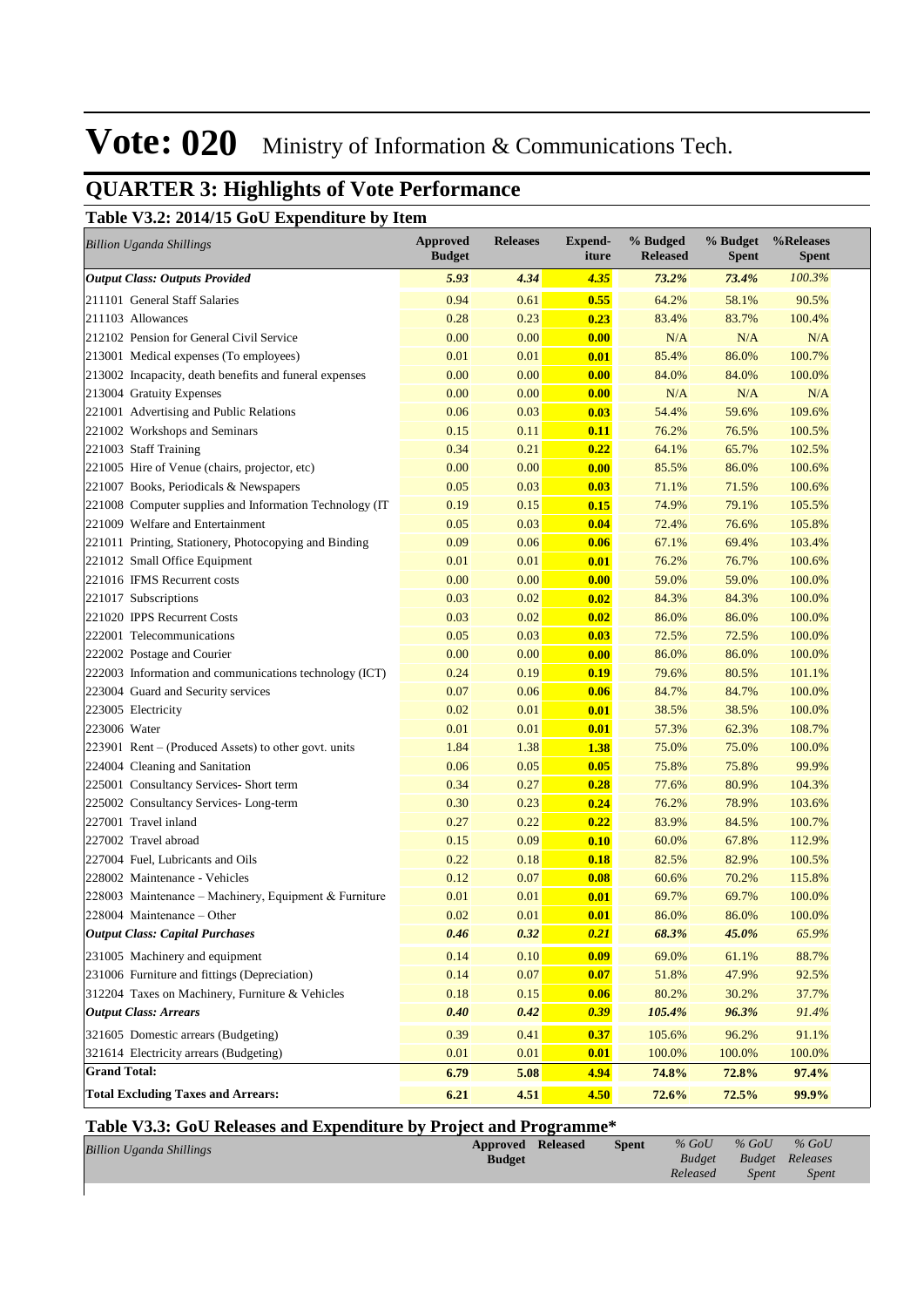## **QUARTER 3: Highlights of Vote Performance**

**Table V3.2: 2014/15 GoU Expenditure by Item**

| <b>Billion Uganda Shillings</b>                         | <b>Approved</b><br><b>Budget</b> | <b>Releases</b> | <b>Expend-</b><br>iture | % Budged<br><b>Released</b> | % Budget<br><b>Spent</b> | %Releases<br><b>Spent</b> |
|---------------------------------------------------------|----------------------------------|-----------------|-------------------------|-----------------------------|--------------------------|---------------------------|
| <b>Output Class: Outputs Provided</b>                   | 5.93                             | 4.34            | 4.35                    | 73.2%                       | 73.4%                    | 100.3%                    |
| 211101 General Staff Salaries                           | 0.94                             | 0.61            | 0.55                    | 64.2%                       | 58.1%                    | 90.5%                     |
| 211103 Allowances                                       | 0.28                             | 0.23            | 0.23                    | 83.4%                       | 83.7%                    | 100.4%                    |
| 212102 Pension for General Civil Service                | 0.00                             | 0.00            | 0.00                    | N/A                         | N/A                      | N/A                       |
| 213001 Medical expenses (To employees)                  | 0.01                             | 0.01            | 0.01                    | 85.4%                       | 86.0%                    | 100.7%                    |
| 213002 Incapacity, death benefits and funeral expenses  | 0.00                             | 0.00            | 0.00                    | 84.0%                       | 84.0%                    | 100.0%                    |
| 213004 Gratuity Expenses                                | 0.00                             | 0.00            | 0.00                    | N/A                         | N/A                      | N/A                       |
| 221001 Advertising and Public Relations                 | 0.06                             | 0.03            | 0.03                    | 54.4%                       | 59.6%                    | 109.6%                    |
| 221002 Workshops and Seminars                           | 0.15                             | 0.11            | 0.11                    | 76.2%                       | 76.5%                    | 100.5%                    |
| 221003 Staff Training                                   | 0.34                             | 0.21            | 0.22                    | 64.1%                       | 65.7%                    | 102.5%                    |
| 221005 Hire of Venue (chairs, projector, etc)           | 0.00                             | 0.00            | 0.00                    | 85.5%                       | 86.0%                    | 100.6%                    |
| 221007 Books, Periodicals & Newspapers                  | 0.05                             | 0.03            | 0.03                    | 71.1%                       | 71.5%                    | 100.6%                    |
| 221008 Computer supplies and Information Technology (IT | 0.19                             | 0.15            | 0.15                    | 74.9%                       | 79.1%                    | 105.5%                    |
| 221009 Welfare and Entertainment                        | 0.05                             | 0.03            | 0.04                    | 72.4%                       | 76.6%                    | 105.8%                    |
| 221011 Printing, Stationery, Photocopying and Binding   | 0.09                             | 0.06            | 0.06                    | 67.1%                       | 69.4%                    | 103.4%                    |
| 221012 Small Office Equipment                           | 0.01                             | 0.01            | 0.01                    | 76.2%                       | 76.7%                    | 100.6%                    |
| 221016 IFMS Recurrent costs                             | 0.00                             | 0.00            | 0.00                    | 59.0%                       | 59.0%                    | 100.0%                    |
| 221017 Subscriptions                                    | 0.03                             | 0.02            | 0.02                    | 84.3%                       | 84.3%                    | 100.0%                    |
| 221020 IPPS Recurrent Costs                             | 0.03                             | 0.02            | 0.02                    | 86.0%                       | 86.0%                    | 100.0%                    |
| 222001 Telecommunications                               | 0.05                             | 0.03            | 0.03                    | 72.5%                       | 72.5%                    | 100.0%                    |
| 222002 Postage and Courier                              | 0.00                             | 0.00            | 0.00                    | 86.0%                       | 86.0%                    | 100.0%                    |
| 222003 Information and communications technology (ICT)  | 0.24                             | 0.19            | 0.19                    | 79.6%                       | 80.5%                    | 101.1%                    |
| 223004 Guard and Security services                      | 0.07                             | 0.06            | 0.06                    | 84.7%                       | 84.7%                    | 100.0%                    |
| 223005 Electricity                                      | 0.02                             | 0.01            | 0.01                    | 38.5%                       | 38.5%                    | 100.0%                    |
| 223006 Water                                            | 0.01                             | 0.01            | 0.01                    | 57.3%                       | 62.3%                    | 108.7%                    |
| 223901 Rent – (Produced Assets) to other govt. units    | 1.84                             | 1.38            | 1.38                    | 75.0%                       | 75.0%                    | 100.0%                    |
| 224004 Cleaning and Sanitation                          | 0.06                             | 0.05            | 0.05                    | 75.8%                       | 75.8%                    | 99.9%                     |
| 225001 Consultancy Services- Short term                 | 0.34                             | 0.27            | 0.28                    | 77.6%                       | 80.9%                    | 104.3%                    |
| 225002 Consultancy Services-Long-term                   | 0.30                             | 0.23            | 0.24                    | 76.2%                       | 78.9%                    | 103.6%                    |
| 227001 Travel inland                                    | 0.27                             | 0.22            | 0.22                    | 83.9%                       | 84.5%                    | 100.7%                    |
| 227002 Travel abroad                                    | 0.15                             | 0.09            | 0.10                    | 60.0%                       | 67.8%                    | 112.9%                    |
| 227004 Fuel, Lubricants and Oils                        | 0.22                             | 0.18            | 0.18                    | 82.5%                       | 82.9%                    | 100.5%                    |
| 228002 Maintenance - Vehicles                           | 0.12                             | 0.07            | 0.08                    | 60.6%                       | 70.2%                    | 115.8%                    |
| 228003 Maintenance - Machinery, Equipment & Furniture   | 0.01                             | 0.01            | 0.01                    | 69.7%                       | 69.7%                    | 100.0%                    |
| 228004 Maintenance – Other                              | 0.02                             | 0.01            | 0.01                    | 86.0%                       | 86.0%                    | 100.0%                    |
| <b>Output Class: Capital Purchases</b>                  | 0.46                             | 0.32            | 0.21                    | 68.3%                       | 45.0%                    | 65.9%                     |
| 231005 Machinery and equipment                          | 0.14                             | 0.10            | 0.09                    | 69.0%                       | 61.1%                    | 88.7%                     |
| 231006 Furniture and fittings (Depreciation)            | 0.14                             | 0.07            | 0.07                    | 51.8%                       | 47.9%                    | 92.5%                     |
| 312204 Taxes on Machinery, Furniture & Vehicles         | 0.18                             | 0.15            | 0.06                    | 80.2%                       | 30.2%                    | 37.7%                     |
| <b>Output Class: Arrears</b>                            | 0.40                             | 0.42            | 0.39                    | 105.4%                      | 96.3%                    | 91.4%                     |
| 321605 Domestic arrears (Budgeting)                     | 0.39                             | 0.41            | 0.37                    | 105.6%                      | 96.2%                    | 91.1%                     |
| 321614 Electricity arrears (Budgeting)                  | 0.01                             | 0.01            | 0.01                    | 100.0%                      | 100.0%                   | 100.0%                    |
| <b>Grand Total:</b>                                     | 6.79                             | 5.08            | 4.94                    | 74.8%                       | 72.8%                    | 97.4%                     |
| <b>Total Excluding Taxes and Arrears:</b>               | 6.21                             | 4.51            | 4.50                    | 72.6%                       | 72.5%                    | 99.9%                     |

### **Table V3.3: GoU Releases and Expenditure by Project and Programme\***

| <b>Billion Uganda Shillings</b> | <b>Approved Released</b> | <b>Spent</b> | $%$ GoU  | $%$ GoU                | $%$ GoU      |
|---------------------------------|--------------------------|--------------|----------|------------------------|--------------|
|                                 | <b>Budget</b>            |              |          | Budget Budget Releases |              |
|                                 |                          |              | Released | Spent                  | <i>Spent</i> |
|                                 |                          |              |          |                        |              |